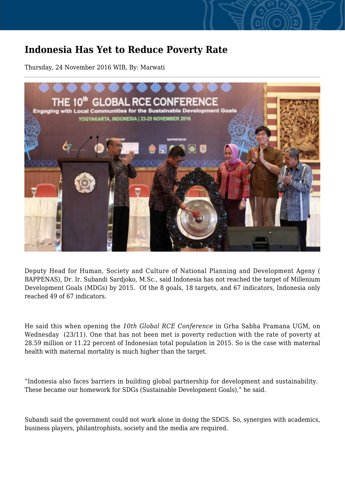## **Indonesia Has Yet to Reduce Poverty Rate**

Thursday, 24 November 2016 WIB, By: Marwati



Deputy Head for Human, Society and Culture of National Planning and Development Ageny ( BAPPENAS), Dr. Ir. Subandi Sardjoko, M.Sc., said Indonesia has not reached the target of Millenium Development Goals (MDGs) by 2015. Of the 8 goals, 18 targets, and 67 indicators, Indonesia only reached 49 of 67 indicators.

He said this when opening the *10th Global RCE Conference* in Grha Sabha Pramana UGM, on Wednesday (23/11). One that has not been met is poverty reduction with the rate of poverty at 28.59 million or 11.22 percent of Indonesian total population in 2015. So is the case with maternal health with maternal mortality is much higher than the target.

"Indonesia also faces barriers in building global partnership for development and sustainability. These became our homework for SDGs (Sustainable Development Goals)," he said.

Subandi said the government could not work alone in doing the SDGS. So, synergies with academics, business players, philantrophists, society and the media are required.